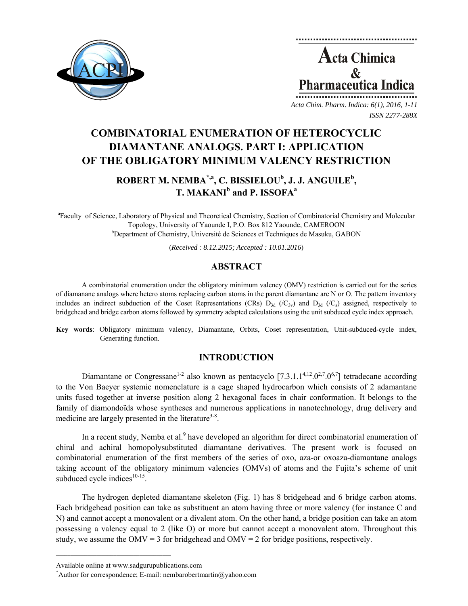

**Acta Chimica**  $\mathcal{R}_{\mathcal{L}}$ **Pharmaceutica Indica** *Acta Chim. Pharm. Indica: 6(1), 2016, 1-11*

*ISSN 2277-288X*

# **COMBINATORIAL ENUMERATION OF HETEROCYCLIC DIAMANTANE ANALOGS. PART I: APPLICATION OF THE OBLIGATORY MINIMUM VALENCY RESTRICTION**

## **ROBERT M. NEMBA\*,a, C. BISSIELOUb , J. J. ANGUILEb , T. MAKANI<sup>b</sup> and P. ISSOFA<sup>a</sup>**

<sup>a</sup>Faculty of Science, Laboratory of Physical and Theoretical Chemistry, Section of Combinatorial Chemistry and Molecular Topology, University of Yaounde I, P.O. Box 812 Yaounde, CAMEROON b Department of Chemistry, Université de Sciences et Techniques de Masuku, GABON

(*Received : 8.12.2015; Accepted : 10.01.2016*)

## **ABSTRACT**

A combinatorial enumeration under the obligatory minimum valency (OMV) restriction is carried out for the series of diamanane analogs where hetero atoms replacing carbon atoms in the parent diamantane are N or O. The pattern inventory includes an indirect subduction of the Coset Representations (CRs)  $D_{3d}$  (/C<sub>3v</sub>) and  $D_{3d}$  (/C<sub>s</sub>) assigned, respectively to bridgehead and bridge carbon atoms followed by symmetry adapted calculations using the unit subduced cycle index approach.

**Key words**: Obligatory minimum valency, Diamantane, Orbits, Coset representation, Unit-subduced-cycle index, Generating function.

### **INTRODUCTION**

Diamantane or Congressane<sup>1-2</sup> also known as pentacyclo  $[7.3.1.1^{4,12}.0^{2,7}.0^{6,7}]$  tetradecane according to the Von Baeyer systemic nomenclature is a cage shaped hydrocarbon which consists of 2 adamantane units fused together at inverse position along 2 hexagonal faces in chair conformation. It belongs to the family of diamondoïds whose syntheses and numerous applications in nanotechnology, drug delivery and medicine are largely presented in the literature<sup>3-8</sup>.

In a recent study, Nemba et al.<sup>9</sup> have developed an algorithm for direct combinatorial enumeration of chiral and achiral homopolysubstituted diamantane derivatives. The present work is focused on combinatorial enumeration of the first members of the series of oxo, aza-or oxoaza-diamantane analogs taking account of the obligatory minimum valencies (OMVs) of atoms and the Fujita's scheme of unit subduced cycle indices $10-15$ .

The hydrogen depleted diamantane skeleton (Fig. 1) has 8 bridgehead and 6 bridge carbon atoms. Each bridgehead position can take as substituent an atom having three or more valency (for instance C and N) and cannot accept a monovalent or a divalent atom. On the other hand, a bridge position can take an atom possessing a valency equal to 2 (like O) or more but cannot accept a monovalent atom. Throughout this study, we assume the OMV = 3 for bridgehead and OMV = 2 for bridge positions, respectively.

 $\mathcal{L}=\{1,2,3,4,5\}$ 

Available online at www.sadgurupublications.com \*

<sup>\*</sup>Author for correspondence; E-mail: nembarobertmartin@yahoo.com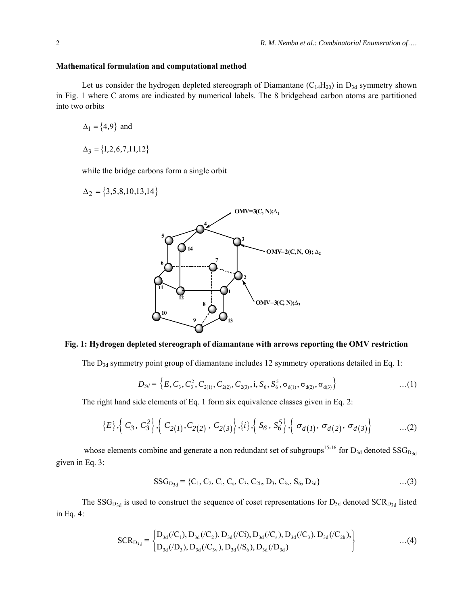#### **Mathematical formulation and computational method**

Let us consider the hydrogen depleted stereograph of Diamantane  $(C_{14}H_{20})$  in D<sub>3d</sub> symmetry shown in Fig. 1 where C atoms are indicated by numerical labels. The 8 bridgehead carbon atoms are partitioned into two orbits

 $\Delta_1 = \{4, 9\}$  and

 $\Delta_3 = \{1, 2, 6, 7, 11, 12\}$ 

while the bridge carbons form a single orbit

$$
\Delta_2 = \{3, 5, 8, 10, 13, 14\}
$$



#### **Fig. 1: Hydrogen depleted stereograph of diamantane with arrows reporting the OMV restriction**

The D<sub>3d</sub> symmetry point group of diamantane includes 12 symmetry operations detailed in Eq. 1:

$$
D_{3d} = \left\{ E, C_3, C_3^2, C_{2(1)}, C_{2(2)}, C_{2(3)}, i, S_6, S_6^5, \sigma_{d(1)}, \sigma_{d(2)}, \sigma_{d(3)} \right\}
$$
...(1)

The right hand side elements of Eq. 1 form six equivalence classes given in Eq. 2:

$$
\{E\}, \Big\{C_3, C_3^2\Big\}, \Big\{C_{2(1)}, C_{2(2)}, C_{2(3)}\Big\}, \{i\}, \Big\{S_6, S_6^5\Big\}, \Big\{\sigma_{d(1)}, \sigma_{d(2)}, \sigma_{d(3)}\Big\} \qquad \dots (2)
$$

whose elements combine and generate a non redundant set of subgroups<sup>15-16</sup> for  $D_{3d}$  denoted SSG<sub>D3d</sub> given in Eq. 3:

$$
SSG_{D_{3d}} = \{C_1, C_2, C_i, C_s, C_3, C_{2h}, D_3, C_{3v}, S_6, D_{3d}\}\qquad \qquad \dots (3)
$$

The  $SSG_{D_{3d}}$  is used to construct the sequence of coset representations for  $D_{3d}$  denoted  $SCR_{D_{3d}}$  listed in Eq. 4:

$$
SCR_{D_{3d}} = \begin{cases} D_{3d}((C_1), D_{3d}((C_2), D_{3d}((C_1), D_{3d}((C_s), D_{3d}((C_3), D_{3d}((C_{2h}), D_{3d}((C_{2h})), D_{3d}((D_{3h}))) \times D_{3d}((D_{3h}), D_{3d}((D_{3h}), D_{3d}((D_{3h})) \times D_{3d}((D_{3h})) \times D_{3d}((D_{3h}), D_{3d}((D_{3h})) \times D_{3d}((D_{3h}), D_{3d}((D_{3h}), D_{3d}((D_{3h}), D_{3d}((D_{3h}), D_{3d}((D_{3h}), D_{3d}((D_{3h}), D_{3d}((D_{3h}), D_{3d}((D_{3h}), D_{3d}((D_{3h}), D_{3d}((D_{3h}), D_{3d}((D_{3h}), D_{3d}((D_{3h}), D_{3d}((D_{3h}), D_{3d}((D_{3h}), D_{3d}((D_{3h}), D_{3d}((D_{3h}), D_{3d}((D_{3h}), D_{3d}((D_{3h}), D_{3d}((D_{3h}), D_{3d}((D_{3h}), D_{3d}((D_{3h}), D_{3d}((D_{3h}), D_{3d}((D_{3h}), D_{3d}((D_{3h}), D_{3d}((D_{3h}), D_{3d}((D_{3h}), D_{3d}((D_{3h}), D_{3d}((D_{3h}), D_{3d}((D_{3h}), D_{3d}((D_{3h}), D_{3d}((D_{3h}), D_{3d}((D_{3h}), D_{3d}((D_{3h}), D_{3d}((D_{3h}), D_{3d}((D_{3h}), D_{3d}((D_{3h}), D_{3d}((D_{3h}), D_{3d}((D_{3h}), D_{3d}((D_{3h}), D_{3d}((D_{3h}), D_{3d}((D_{3h}), D_{3d}((D_{3h}), D_{3d}((D_{3h}), D_{3d}((D_{3h}), D_{3d}((D_{3h}), D_{3d}((D_{3h}), D_{3d}((D_{3h}), D_{3d}((D_{3h}), D_{3d}((D_{3h}), D_{3d}((D_{3h}), D_{3d}((D_{3h}), D_{3d}((D_{3h}), D_{3d}((D_{3h}), D_{3d}
$$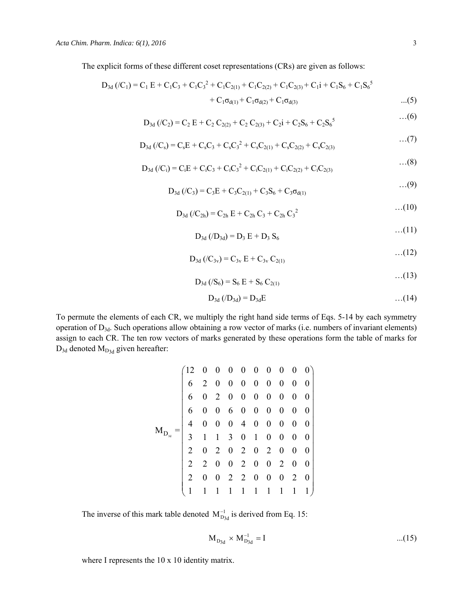The explicit forms of these different coset representations (CRs) are given as follows:

$$
D_{3d} (/C_1) = C_1 E + C_1 C_3 + C_1 C_3^2 + C_1 C_{2(1)} + C_1 C_{2(2)} + C_1 C_{2(3)} + C_1 i + C_1 S_6 + C_1 S_6^5
$$
  
+ C\_1 \sigma\_{d(1)} + C\_1 \sigma\_{d(2)} + C\_1 \sigma\_{d(3)} \qquad ...(5)

$$
D_{3d} \left( /C_2 \right) = C_2 E + C_2 C_{2(2)} + C_2 C_{2(3)} + C_2 i + C_2 S_6 + C_2 S_6^5 \tag{6}
$$

$$
D_{3d} (/C_s) = C_s E + C_s C_3 + C_s C_3^2 + C_s C_{2(1)} + C_s C_{2(2)} + C_s C_{2(3)} \qquad \qquad \dots (7)
$$

$$
D_{3d} ( /C_i) = C_i E + C_i C_3 + C_i C_3^2 + C_i C_{2(1)} + C_i C_{2(2)} + C_i C_{2(3)} \qquad \qquad \dots (8)
$$

$$
D_{3d} ((C_3) = C_3 E + C_3 C_{2(1)} + C_3 S_6 + C_3 \sigma_{d(1)} \qquad \qquad \dots (9)
$$

$$
D_{3d} (/C_{2h}) = C_{2h} E + C_{2h} C_3 + C_{2h} C_3^2
$$
...(10)

$$
D_{3d} (D_{3d}) = D_3 E + D_3 S_6 \qquad \qquad \dots (11)
$$

$$
D_{3d} (/C_{3v}) = C_{3v} E + C_{3v} C_{2(1)}
$$
...(12)

$$
D_{3d} (S_6) = S_6 E + S_6 C_{2(1)} \qquad \qquad \dots (13)
$$

$$
D_{3d} (D_{3d}) = D_{3d} E
$$
...(14)

To permute the elements of each CR, we multiply the right hand side terms of Eqs. 5-14 by each symmetry operation of D<sub>3d</sub>. Such operations allow obtaining a row vector of marks (i.e. numbers of invariant elements) assign to each CR. The ten row vectors of marks generated by these operations form the table of marks for  $D_{3d}$  denoted  $M_{D_{3d}}$  given hereafter:

|         | $\begin{pmatrix} 12 & 0 & 0 & 0 & 0 & 0 & 0 & 0 & 0 & 0 \end{pmatrix}$ |                  |                  |                                                 |                     |                |                                 |                          |                          |                                    |
|---------|------------------------------------------------------------------------|------------------|------------------|-------------------------------------------------|---------------------|----------------|---------------------------------|--------------------------|--------------------------|------------------------------------|
| $M_{I}$ | 6                                                                      | $\overline{2}$   |                  | $0 \t0 \t0 \t0 \t0 \t0 \t0 \t0$                 |                     |                |                                 |                          |                          |                                    |
|         | 6                                                                      | $\mathbf{0}$     | $\overline{2}$   |                                                 |                     |                | $0 \t 0 \t 0 \t 0 \t 0$         |                          | $\overline{\phantom{0}}$ | $\begin{array}{c c} 0 \end{array}$ |
|         | 6                                                                      | $\boldsymbol{0}$ |                  | $\begin{matrix} 0 & 6 & 0 & 0 & 0 \end{matrix}$ |                     |                |                                 | $\overline{\phantom{0}}$ | $\overline{\phantom{0}}$ | $\vert 0 \vert$                    |
|         | $\overline{4}$                                                         | $\boldsymbol{0}$ | $\boldsymbol{0}$ |                                                 |                     |                | $0\quad 4\quad 0\quad 0\quad 0$ |                          | $\overline{\phantom{0}}$ | $\vert 0 \vert$                    |
|         | $3 \quad 1$                                                            |                  | $\mathbf{1}$     |                                                 | $3 \quad 0 \quad 1$ |                | $\mathbf{0}$                    | $0\quad 0$               |                          | $\begin{array}{c c} 0 \end{array}$ |
|         | $\overline{2}$                                                         | $\overline{0}$   | $\overline{2}$   |                                                 |                     |                | $0 \t2 \t0 \t2 \t0$             |                          | $\overline{\phantom{0}}$ | $\vert 0 \vert$                    |
|         | $\overline{2}$                                                         | $\overline{2}$   | $\boldsymbol{0}$ |                                                 |                     |                | 0 2 0 0 2 0                     |                          |                          | $\begin{array}{c c} 0 \end{array}$ |
|         | $\overline{2}$                                                         | $\boldsymbol{0}$ | $\boldsymbol{0}$ |                                                 |                     |                | $2\quad 2\quad 0\quad 0\quad 0$ |                          | $2 \quad 0$              |                                    |
|         |                                                                        |                  |                  |                                                 | $\mathbf{1}$        | $\overline{1}$ | $\mathbf{1}$                    | $\mathbf{1}$             | $\mathbf{1}$             | 1)                                 |

The inverse of this mark table denoted  $M_{D_{3d}}^{-1}$  is derived from Eq. 15:

$$
M_{D_{3d}} \times M_{D_{3d}}^{-1} = I \qquad ...(15)
$$

where I represents the 10 x 10 identity matrix.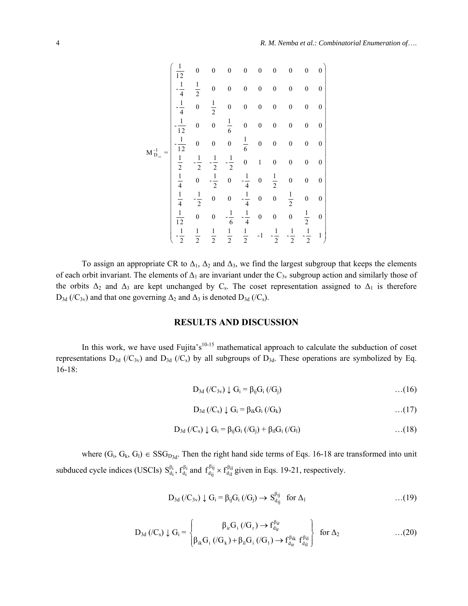$$
M_{D_{3a}}^{-1} = \begin{pmatrix}\n\frac{1}{12} & 0 & 0 & 0 & 0 & 0 & 0 & 0 & 0 & 0 \\
-\frac{1}{4} & \frac{1}{2} & 0 & 0 & 0 & 0 & 0 & 0 & 0 & 0 \\
-\frac{1}{4} & 0 & \frac{1}{2} & 0 & 0 & 0 & 0 & 0 & 0 & 0 \\
-\frac{1}{12} & 0 & 0 & \frac{1}{6} & 0 & 0 & 0 & 0 & 0 & 0 \\
\frac{1}{12} & -\frac{1}{2} & -\frac{1}{2} & -\frac{1}{2} & 0 & 1 & 0 & 0 & 0 & 0 \\
\frac{1}{4} & 0 & -\frac{1}{2} & 0 & -\frac{1}{4} & 0 & \frac{1}{2} & 0 & 0 & 0 \\
\frac{1}{4} & -\frac{1}{2} & 0 & 0 & -\frac{1}{4} & 0 & \frac{1}{2} & 0 & 0 & 0 \\
\frac{1}{12} & 0 & 0 & -\frac{1}{6} & -\frac{1}{4} & 0 & 0 & \frac{1}{2} & 0 & 0 \\
\frac{1}{12} & 0 & 0 & -\frac{1}{6} & -\frac{1}{4} & 0 & 0 & 0 & \frac{1}{2} & 0 \\
-\frac{1}{2} & \frac{1}{2} & \frac{1}{2} & \frac{1}{2} & \frac{1}{2} & -1 & -\frac{1}{2} & -\frac{1}{2} & -\frac{1}{2} & 1\n\end{pmatrix}
$$

To assign an appropriate CR to  $\Delta_1$ ,  $\Delta_2$  and  $\Delta_3$ , we find the largest subgroup that keeps the elements of each orbit invariant. The elements of  $\Delta_1$  are invariant under the  $C_{3v}$  subgroup action and similarly those of the orbits  $\Delta_2$  and  $\Delta_3$  are kept unchanged by C<sub>s</sub>. The coset representation assigned to  $\Delta_1$  is therefore  $D_{3d}$  (/C<sub>3v</sub>) and that one governing  $\Delta_2$  and  $\Delta_3$  is denoted  $D_{3d}$  (/C<sub>s</sub>).

### **RESULTS AND DISCUSSION**

In this work, we have used Fujita's<sup>10-15</sup> mathematical approach to calculate the subduction of coset representations  $D_{3d}$  (/C<sub>3v</sub>) and  $D_{3d}$  (/C<sub>s</sub>) by all subgroups of  $D_{3d}$ . These operations are symbolized by Eq. 16-18:

$$
D_{3d} ( /C_{3v} ) \downarrow G_i = \beta_{ij} G_i ( /G_j ) \qquad \qquad \ldots (16)
$$

$$
D_{3d} (/C_s) \downarrow G_i = \beta_{ik} G_i (/G_k) \qquad \qquad \dots (17)
$$

$$
D_{3d} ( /C_s) \downarrow G_i = \beta_{ij} G_i ( /G_j) + \beta_{il} G_i ( /G_l) \qquad \qquad \dots (18)
$$

where  $(G_i, G_k, G_l) \in SSG_{D_{3d}}$ . Then the right hand side terms of Eqs. 16-18 are transformed into unit subduced cycle indices (USCIs)  $S_{d_i}^{\beta_i}$ ,  $f_{d_i}^{\beta_i}$  and  $f_{d_{i j}}^{\beta_{i j}} \times f_{d_{i l}}^{\beta_{i l}}$  $f_{d_{ij}}^{\beta_{ij}} \times f_{d_{il}}^{\beta_{il}}$  given in Eqs. 19-21, respectively.

$$
D_{3d} (/C_{3v}) \downarrow G_i = \beta_{ij} G_i (/G_j) \rightarrow S_{d_{ij}}^{\beta_{ij}} \text{ for } \Delta_1 \qquad \qquad \dots (19)
$$

$$
D_{3d}(\langle C_{s}\rangle \downarrow G_{i} = \begin{cases} \beta_{ir}G_{i}(\langle G_{r}\rangle \rightarrow f_{d_{ir}}^{\beta_{ir}} \\ \beta_{ik}G_{i}(\langle G_{k}\rangle + \beta_{il}G_{i}(\langle G_{1}\rangle \rightarrow f_{d_{ir}}^{\beta_{ik}} f_{d_{il}}^{\beta_{il}} \end{cases} \text{ for } \Delta_{2} \qquad \qquad ...(20)
$$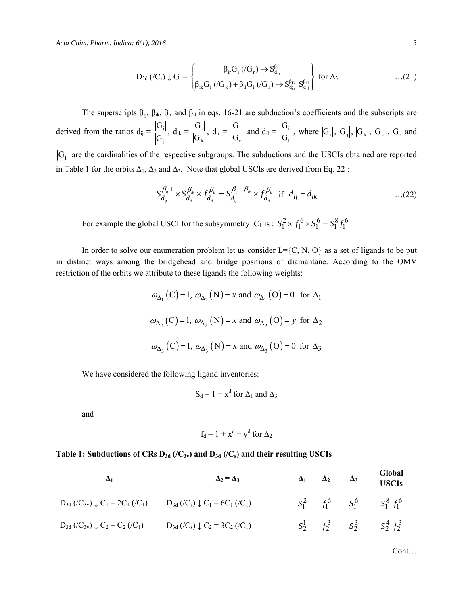$$
D_{3d}(\mathcal{K}_{s}) \downarrow G_{i} = \begin{cases} \beta_{ir}G_{i}(\mathcal{K}_{r}) \rightarrow S_{d_{ir}}^{\beta_{ir}} \\ \beta_{ik}G_{i}(\mathcal{K}_{k}) + \beta_{il}G_{i}(\mathcal{K}_{l}) \rightarrow S_{d_{ir}}^{\beta_{ik}} S_{d_{il}}^{\beta_{il}} \end{cases} \text{ for } \Delta_{3} \qquad \qquad ...(21)
$$

The superscripts  $\beta_{ij}$ ,  $\beta_{ik}$ ,  $\beta_{ir}$  and  $\beta_{il}$  in eqs. 16-21 are subduction's coefficients and the subscripts are derived from the ratios  $d_{ij} = \frac{|G_i|}{|G_i|}$ ,  $\frac{1}{\sqrt{2}}$ ,  $d_{ik} = \frac{|G_i|}{|G_k|}$ ,  $\frac{1}{k}$ ,  $d_{ir} = \frac{|\mathbf{O}_i|}{|G_r|}$ G  $\frac{G_i}{G_r}$  and  $d_{il} = \frac{|G_i|}{|G_l|}$ ,  $\frac{1}{\sqrt{1}}$ , where  $|G_i|, |G_j|, |G_k|, |G_k|, |G_r|$  and  $|G_1|$  are the cardinalities of the respective subgroups. The subductions and the USCIs obtained are reported in Table 1 for the orbits  $\Delta_1$ ,  $\Delta_2$  and  $\Delta_3$ . Note that global USCIs are derived from Eq. 22:

$$
S_{d_{ij}}^{\beta_{ij}+} \times S_{d_{ik}}^{\beta_{ik}} \times f_{d_{il}}^{\beta_{il}} = S_{d_{ij}}^{\beta_{ij}+\beta_{ik}} \times f_{d_{il}}^{\beta_{il}} \text{ if } d_{ij} = d_{ik} \qquad \qquad \dots (22)
$$

For example the global USCI for the subsymmetry  $C_1$  is :  $S_1^2 \times f_1^6 \times S_1^6 = S_1^8 f_1^6$ 

In order to solve our enumeration problem let us consider  $L = \{C, N, O\}$  as a set of ligands to be put in distinct ways among the bridgehead and bridge positions of diamantane. According to the OMV restriction of the orbits we attribute to these ligands the following weights:

$$
\omega_{\Delta_1}(C) = 1
$$
,  $\omega_{\Delta_1}(N) = x$  and  $\omega_{\Delta_1}(O) = 0$  for  $\Delta_1$   
 $\omega_{\Delta_2}(C) = 1$ ,  $\omega_{\Delta_2}(N) = x$  and  $\omega_{\Delta_2}(O) = y$  for  $\Delta_2$   
 $\omega_{\Delta_3}(C) = 1$ ,  $\omega_{\Delta_3}(N) = x$  and  $\omega_{\Delta_3}(O) = 0$  for  $\Delta_3$ 

We have considered the following ligand inventories:

$$
S_d = 1 + x^d
$$
 for  $\Delta_1$  and  $\Delta_3$ 

and

$$
f_d = 1 + x^d + y^d
$$
 for  $\Delta_2$ 

## Table 1: Subductions of CRs  $D_{3d}$  (/C<sub>3v</sub>) and  $D_{3d}$  (/C<sub>s</sub>) and their resulting USCIs

|                                                                                               | $\Delta_2 = \Delta_3$                                                                        | $\Delta_1$ $\Delta_2$ $\Delta_3$ | Global<br><b>USCIs</b>                  |
|-----------------------------------------------------------------------------------------------|----------------------------------------------------------------------------------------------|----------------------------------|-----------------------------------------|
| $D_{3d}$ (/C <sub>3v</sub> ) $\downarrow$ C <sub>1</sub> = 2C <sub>1</sub> (/C <sub>1</sub> ) | $D_{3d}$ (/C <sub>s</sub> ) $\downarrow$ C <sub>1</sub> = 6C <sub>1</sub> (/C <sub>1</sub> ) |                                  | $S_1^2$ $f_1^6$ $S_1^6$ $S_1^8$ $f_1^6$ |
| $D_{3d}$ (/C <sub>3v</sub> ) $\downarrow$ C <sub>2</sub> = C <sub>2</sub> (/C <sub>1</sub> )  | $D_{3d}$ (/C <sub>s</sub> ) $\downarrow$ C <sub>2</sub> = 3C <sub>2</sub> (/C <sub>1</sub> ) |                                  | $S_2^1$ $f_2^3$ $S_2^3$ $S_2^4$ $f_2^3$ |

Cont…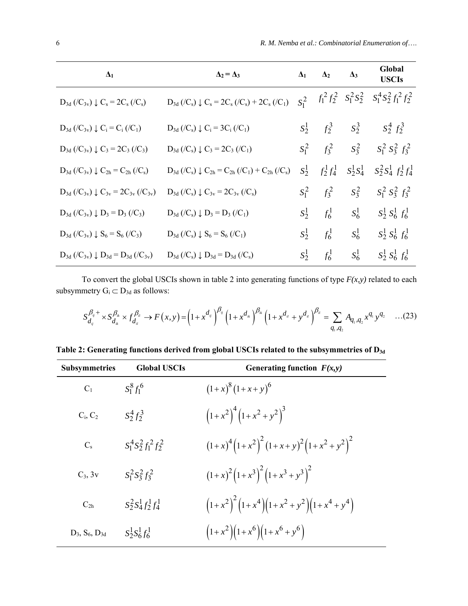| $\Delta_1$                                                                                       | $\Delta_2 = \Delta_3$                                                                                                              | $\Delta_1$ | $\Delta_2$       | $\Delta_3$   | Global<br><b>USCIs</b>                                |
|--------------------------------------------------------------------------------------------------|------------------------------------------------------------------------------------------------------------------------------------|------------|------------------|--------------|-------------------------------------------------------|
| $D_{3d}$ (/C <sub>3v</sub> ) $\downarrow$ C <sub>s</sub> = 2C <sub>s</sub> (/C <sub>s</sub> )    | $D_{3d}$ (/C <sub>s</sub> ) $\downarrow$ C <sub>s</sub> = 2C <sub>s</sub> (/C <sub>s</sub> ) + 2C <sub>s</sub> (/C <sub>1</sub> )  | $S_1^2$    |                  |              | $f_1^2 f_2^2$ $S_1^2 S_2^2$ $S_1^4 S_2^2 f_1^2 f_2^2$ |
| $D_{3d}$ (/C <sub>3v</sub> ) $\downarrow$ C <sub>i</sub> = C <sub>i</sub> (/C <sub>1</sub> )     | $D_{3d}$ (/C <sub>s</sub> ) $\downarrow$ C <sub>i</sub> = 3C <sub>i</sub> (/C <sub>1</sub> )                                       |            | $S_2^1 \t f_2^3$ | $S_2^3$      | $S_2^4 f_2^3$                                         |
| $D_{3d}$ (/C <sub>3y</sub> ) $\downarrow$ C <sub>3</sub> = 2C <sub>3</sub> (/C <sub>3</sub> )    | $D_{3d}$ (/C <sub>s</sub> ) $\downarrow$ C <sub>3</sub> = 2C <sub>3</sub> (/C <sub>1</sub> )                                       | $S_1^2$    | $f_3^2$          | $S_3^2$      | $S_1^2 S_3^2 f_3^2$                                   |
| $D_{3d}$ (/C <sub>3v</sub> ) $\downarrow$ C <sub>2h</sub> = C <sub>2h</sub> (/C <sub>s</sub> )   | $D_{3d}$ (/C <sub>s</sub> ) $\downarrow$ C <sub>2h</sub> = C <sub>2h</sub> (/C <sub>1</sub> ) + C <sub>2h</sub> (/C <sub>s</sub> ) | $S_2^1$    | $f_2^1 f_4^1$    | $S_2^1S_4^1$ | $S_2^2 S_4^1 f_2^1 f_4^1$                             |
| $D_{3d}$ (/C <sub>3v</sub> ) $\downarrow$ C <sub>3v</sub> = 2C <sub>3v</sub> (/C <sub>3v</sub> ) | $D_{3d}$ (/C <sub>s</sub> ) $\downarrow$ C <sub>3v</sub> = 2C <sub>3v</sub> (/C <sub>s</sub> )                                     | $S_1^2$    | $f_3^2$          | $S_3^2$      | $S_1^2 S_3^2 f_3^2$                                   |
| $D_{3d}$ (/C <sub>3v</sub> ) $\downarrow$ $D_3 = D_3$ (/C <sub>3</sub> )                         | $D_{3d}$ (/C <sub>s</sub> ) $\downarrow$ D <sub>3</sub> = D <sub>3</sub> (/C <sub>1</sub> )                                        | $S_2^1$    | $f_6^1$          | $S_6^1$      | $S^1_2 S^1_6 f^1_6$                                   |
| $D_{3d}$ (/C <sub>3v</sub> ) $\downarrow$ S <sub>6</sub> = S <sub>6</sub> (/C <sub>3</sub> )     | $D_{3d}$ (/C <sub>s</sub> ) $\downarrow$ S <sub>6</sub> = S <sub>6</sub> (/C <sub>1</sub> )                                        | $S_2^1$    | $f_6^1$          | $S_6^1$      | $S_2^1 S_6^1 f_6^1$                                   |
| $D_{3d}$ (/C <sub>3y</sub> ) $\downarrow$ $D_{3d} = D_{3d}$ (/C <sub>3y</sub> )                  | $D_{3d}$ (/C <sub>s</sub> ) $\downarrow$ $D_{3d} = D_{3d}$ (/C <sub>s</sub> )                                                      | $S_2^1$    | $f_6^1$          | $S_6^1$      | $S_2^1 S_6^1 f_6^1$                                   |

To convert the global USCIs shown in table 2 into generating functions of type  $F(x, y)$  related to each subsymmetry  $G_i \subset D_{3d}$  as follows:

$$
S_{d_{ij}}^{\beta_{ij}+} \times S_{d_{ik}}^{\beta_{ik}} \times f_{d_{il}}^{\beta_{il}} \to F(x, y) = \left(1 + x^{d_{ij}}\right)^{\beta_{ij}} \left(1 + x^{d_{ik}}\right)^{\beta_{ik}} \left(1 + x^{d_{il}} + y^{d_{il}}\right)^{\beta_{il}} = \sum_{q_1, q_2} A_{q_1, q_2} x^{q_1} y^{q_2} \dots (23)
$$

**Table 2: Generating functions derived from global USCIs related to the subsymmetries of D3d**

| <b>Subsymmetries</b>     | <b>Global USCIs</b>       | Generating function $F(x, y)$             |
|--------------------------|---------------------------|-------------------------------------------|
| $C_1$                    | $S_1^8 f_1^6$             | $(1+x)^8(1+x+y)^6$                        |
| $C_i, C_2$               | $S_2^4 f_2^3$             | $(1+x^2)^4 (1+x^2+y^2)^3$                 |
| $C_{\rm s}$              | $S_1^4S_2^2f_1^2f_2^2$    | $(1+x)^4(1+x^2)^2(1+x+y)^2(1+x^2+y^2)^2$  |
| $C_3$ , $3v$             | $S_1^2S_3^2f_3^2$         | $(1+x)^2(1+x^3)^2(1+x^3+y^3)^2$           |
| $C_{2h}$                 | $S_2^2 S_4^1 f_2^1 f_4^1$ | $(1+x^2)^2 (1+x^4)(1+x^2+y^2)(1+x^4+y^4)$ |
| $D_3$ , $S_6$ , $D_{3d}$ | $S_2^1 S_6^1 f_6^1$       | $(1+x^2)(1+x^6)(1+x^6+y^6)$               |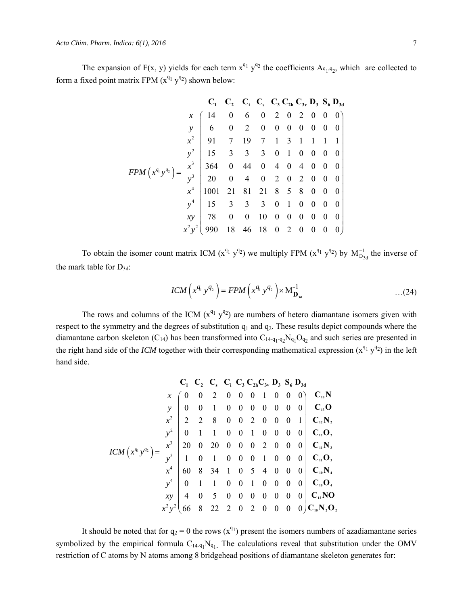The expansion of  $F(x, y)$  yields for each term  $x^{q_1} y^{q_2}$  the coefficients  $A_{q_1,q_2}$ , which are collected to form a fixed point matrix FPM  $(x^{q_1} y^{q_2})$  shown below:

$$
FPM\left(x^{q_1}y^{q_2}\right) = \begin{pmatrix}\nx \\
y \\
x^2 \\
y^3 \\
x^4\n\end{pmatrix} \begin{pmatrix}\n14 & 0 & 6 & 0 & 2 & 0 & 2 & 0 & 0 & 0 \\
6 & 0 & 2 & 0 & 0 & 0 & 0 & 0 & 0 \\
0 & 0 & 2 & 0 & 0 & 0 & 0 & 0 & 0 \\
0 & 0 & 0 & 0 & 0 & 0 & 0 & 0 & 0 \\
0 & 0 & 0 & 0 & 0 & 0 & 0 & 0 & 0 \\
0 & 0 & 4 & 0 & 4 & 0 & 4 & 0 & 0 & 0 \\
0 & 0 & 4 & 0 & 2 & 0 & 2 & 0 & 0 & 0 \\
0 & 0 & 4 & 0 & 2 & 0 & 2 & 0 & 0 & 0 \\
0 & 0 & 0 & 0 & 0 & 0 & 0 & 0 & 0 \\
0 & 0 & 0 & 0 & 0 & 0 & 0 & 0 & 0 \\
0 & 0 & 0 & 0 & 0 & 0 & 0 & 0 & 0 \\
0 & 0 & 0 & 0 & 0 & 0 & 0 & 0 & 0 \\
0 & 0 & 0 & 0 & 0 & 0 & 0 & 0 & 0 \\
0 & 0 & 0 & 0 & 0 & 0 & 0 & 0 & 0 \\
0 & 0 & 0 & 0 & 0 & 0 & 0 & 0 & 0\n\end{pmatrix}
$$

To obtain the isomer count matrix ICM ( $x^{q_1}y^{q_2}$ ) we multiply FPM ( $x^{q_1}y^{q_2}$ ) by  $M_{D_{3d}}^{-1}$  the inverse of the mark table for  $D_{3d}$ :

$$
ICM\left(x^{q_1}y^{q_2}\right) = FPM\left(x^{q_1}y^{q_2}\right) \times M_{\mathbf{D}_{3d}}^{-1} \qquad \qquad \dots (24)
$$

The rows and columns of the ICM  $(x^{q_1} y^{q_2})$  are numbers of hetero diamantane isomers given with respect to the symmetry and the degrees of substitution  $q_1$  and  $q_2$ . These results depict compounds where the diamantane carbon skeleton  $(C_{14})$  has been transformed into  $C_{14-q_1-q_2}N_{q_1}O_{q_2}$  and such series are presented in the right hand side of the *ICM* together with their corresponding mathematical expression  $(x^{q_1} y^{q_2})$  in the left hand side.

$$
ICM (x^{q_1}y^{q_2}) = \begin{pmatrix}\nx & 0 & 0 & 2 & 0 & 0 & 0 & 1 & 0 & 0 & 0 & 0 \\
y & 0 & 0 & 1 & 0 & 0 & 0 & 0 & 0 & 0 & 0 & 0 \\
x^2 & 2 & 2 & 8 & 0 & 0 & 2 & 0 & 0 & 0 & 1 \\
y^2 & 0 & 1 & 1 & 0 & 0 & 1 & 0 & 0 & 0 & 0 \\
0 & 0 & 1 & 1 & 0 & 0 & 1 & 0 & 0 & 0 & 0 \\
y^2 & 0 & 1 & 1 & 0 & 0 & 1 & 0 & 0 & 0 & 0 \\
0 & 0 & 20 & 0 & 0 & 0 & 2 & 0 & 0 & 0 & 0 \\
0 & 8 & 34 & 1 & 0 & 5 & 4 & 0 & 0 & 0 & 0 \\
0 & 8 & 34 & 1 & 0 & 5 & 4 & 0 & 0 & 0 & 0 \\
0 & 1 & 1 & 0 & 0 & 1 & 0 & 0 & 0 & 0 & 0 \\
0 & 1 & 1 & 0 & 0 & 1 & 0 & 0 & 0 & 0 & 0 \\
0 & 1 & 1 & 0 & 0 & 1 & 0 & 0 & 0 & 0 & 0 \\
0 & 1 & 0 & 0 & 0 & 0 & 0 & 0 & 0 & 0 \\
0 & 0 & 0 & 0 & 0 & 0 & 0 & 0 & 0 & 0 \\
0 & 0 & 0 & 0 & 0 & 0 & 0 & 0 & 0 & 0 \\
0 & 0 & 0 & 0 & 0 & 0 & 0 & 0 & 0 & 0 \\
0 & 0 & 0 & 0 & 0 & 0 & 0 & 0 & 0 & 0\n\end{pmatrix}
$$

It should be noted that for  $q_2 = 0$  the rows  $(x^{q_1})$  present the isomers numbers of azadiamantane series symbolized by the empirical formula  $C_{14-q_1}N_{q_1}$ . The calculations reveal that substitution under the OMV restriction of C atoms by N atoms among 8 bridgehead positions of diamantane skeleton generates for: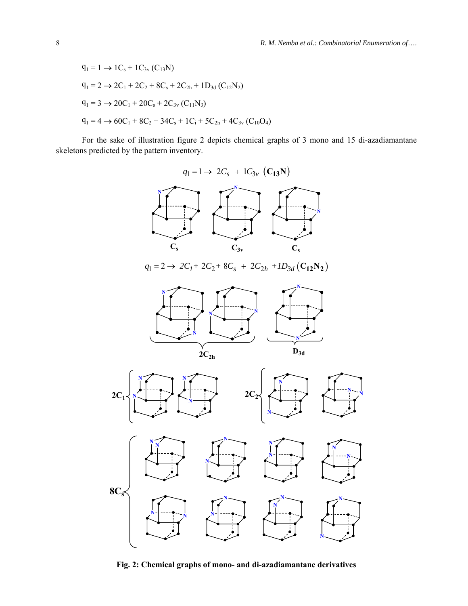$$
q_1 = 1 \rightarrow 1C_s + 1C_{3v} (C_{13}N)
$$
  
\n
$$
q_1 = 2 \rightarrow 2C_1 + 2C_2 + 8C_s + 2C_{2h} + 1D_{3d} (C_{12}N_2)
$$
  
\n
$$
q_1 = 3 \rightarrow 20C_1 + 20C_s + 2C_{3v} (C_{11}N_3)
$$
  
\n
$$
q_1 = 4 \rightarrow 60C_1 + 8C_2 + 34C_s + 1C_1 + 5C_{2h} + 4C_{3v} (C_{10}O_4)
$$

For the sake of illustration figure 2 depicts chemical graphs of 3 mono and 15 di-azadiamantane skeletons predicted by the pattern inventory.



 $q_1 = 2 \rightarrow 2C_1 + 2C_2 + 8C_s + 2C_{2h} + 1D_{3d}(\mathbf{C_{12}N_2})$ 







**Fig. 2: Chemical graphs of mono- and di-azadiamantane derivatives**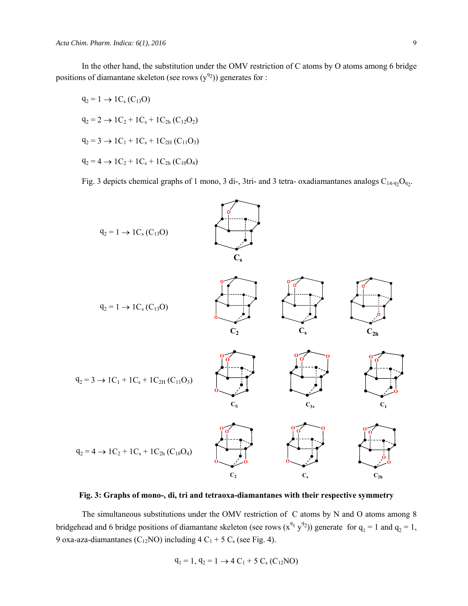In the other hand, the substitution under the OMV restriction of C atoms by O atoms among 6 bridge positions of diamantane skeleton (see rows  $(y^{q_2})$ ) generates for :

$$
q_2 = 1 \rightarrow 1C_s (C_{13}O)
$$
  
\n
$$
q_2 = 2 \rightarrow 1C_2 + 1C_s + 1C_{2h} (C_{12}O_2)
$$
  
\n
$$
q_2 = 3 \rightarrow 1C_1 + 1C_s + 1C_{2H} (C_{11}O_3)
$$
  
\n
$$
q_2 = 4 \rightarrow 1C_2 + 1C_s + 1C_{2h} (C_{10}O_4)
$$

Fig. 3 depicts chemical graphs of 1 mono, 3 di-, 3tri- and 3 tetra- oxadiamantanes analogs  $C_{14-q_2}O_{q_2}$ .



**Fig. 3: Graphs of mono-, di, tri and tetraoxa-diamantanes with their respective symmetry**

The simultaneous substitutions under the OMV restriction of C atoms by N and O atoms among 8 bridgehead and 6 bridge positions of diamantane skeleton (see rows  $(x^{q_1} y^{q_2})$ ) generate for  $q_1 = 1$  and  $q_2 = 1$ , 9 oxa-aza-diamantanes (C<sub>12</sub>NO) including  $4 C_1 + 5 C_s$  (see Fig. 4).

$$
q_1 = 1
$$
,  $q_2 = 1 \rightarrow 4 C_1 + 5 C_s (C_{12}NO)$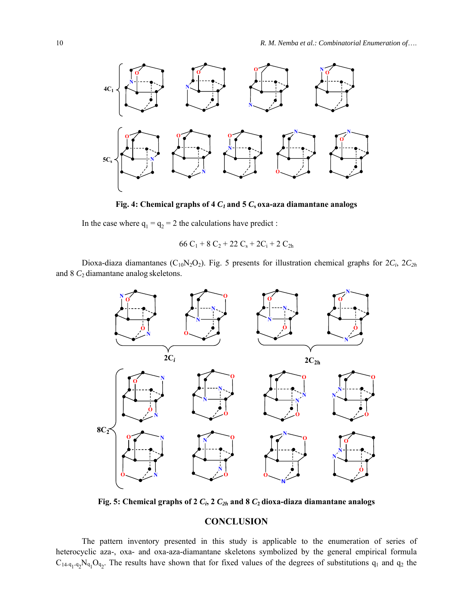

**Fig. 4: Chemical graphs of 4** *C1* **and 5** *C***s oxa-aza diamantane analogs** 

In the case where  $q_1 = q_2 = 2$  the calculations have predict :

$$
66\ C_1 + 8\ C_2 + 22\ C_s + 2C_i + 2\ C_{2h}
$$

Dioxa-diaza diamantanes (C<sub>10</sub>N<sub>2</sub>O<sub>2</sub>). Fig. 5 presents for illustration chemical graphs for 2*C<sub>i</sub>*, 2*C<sub>2h</sub>* and 8  $C_2$  diamantane analog skeletons.



**Fig. 5: Chemical graphs of 2**  $C_i$ , 2  $C_{2h}$  and 8  $C_2$  dioxa-diaza diamantane analogs

## **CONCLUSION**

The pattern inventory presented in this study is applicable to the enumeration of series of heterocyclic aza-, oxa- and oxa-aza-diamantane skeletons symbolized by the general empirical formula  $C_{14\cdot q_1\cdot q_2}N_{q_1}O_{q_2}$ . The results have shown that for fixed values of the degrees of substitutions  $q_1$  and  $q_2$  the